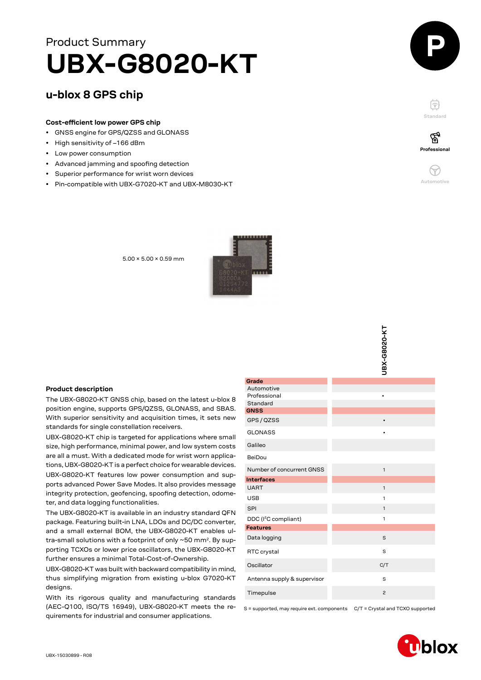# **UBX-G8020-KT** Product Summary

# **u-blox 8 GPS chip**

## **Cost-efficient low power GPS chip**

- GNSS engine for GPS/QZSS and GLONASS
- High sensitivity of –166 dBm
- Low power consumption
- Advanced jamming and spoofing detection
- Superior performance for wrist worn devices
- Pin-compatible with UBX-G7020-KT and UBX-M8030-KT



F **Standard**



**Professional**

′ିବୁ

5.00 × 5.00 × 0.59 mm



#### **Product description**

The UBX-G8020-KT GNSS chip, based on the latest u-blox 8 position engine, supports GPS/QZSS, GLONASS, and SBAS. With superior sensitivity and acquisition times, it sets new standards for single constellation receivers.

UBX-G8020-KT chip is targeted for applications where small size, high performance, minimal power, and low system costs are all a must. With a dedicated mode for wrist worn applications, UBX-G8020-KT is a perfect choice for wearable devices. UBX-G8020-KT features low power consumption and supports advanced Power Save Modes. It also provides message integrity protection, geofencing, spoofing detection, odome-

ter, and data logging functionalities. The UBX-G8020-KT is available in an industry standard QFN package. Featuring built-in LNA, LDOs and DC/DC converter, and a small external BOM, the UBX-G8020-KT enables ultra-small solutions with a footprint of only ~50 mm<sup>2</sup>. By supporting TCXOs or lower price oscillators, the UBX-G8020-KT

further ensures a minimal Total-Cost-of-Ownership. UBX-G8020-KT was built with backward compatibility in mind, thus simplifying migration from existing u-blox G7020-KT designs.

With its rigorous quality and manufacturing standards (AEC-Q100, ISO/TS 16949), UBX-G8020-KT meets the requirements for industrial and consumer applications.

|                                        | UBX-G8020-KT   |
|----------------------------------------|----------------|
| Grade                                  |                |
| Automotive<br>Professional<br>Standard |                |
| <b>GNSS</b>                            |                |
| GPS / QZSS                             | $\bullet$      |
| <b>GLONASS</b>                         |                |
| Galileo                                |                |
| BeiDou                                 |                |
| Number of concurrent GNSS              | $\mathbf{1}$   |
| <b>Interfaces</b>                      |                |
| <b>UART</b>                            | $\mathbf{1}$   |
| <b>USB</b>                             | 1              |
| <b>SPI</b>                             | 1              |
| DDC (I <sup>2</sup> C compliant)       | 1              |
| <b>Features</b>                        |                |
| Data logging                           | S              |
| RTC crystal                            | S              |
| Oscillator                             | C/T            |
| Antenna supply & supervisor            | S              |
| Timepulse                              | $\overline{c}$ |

S = supported, may require ext. components C/T = Crystal and TCXO supported